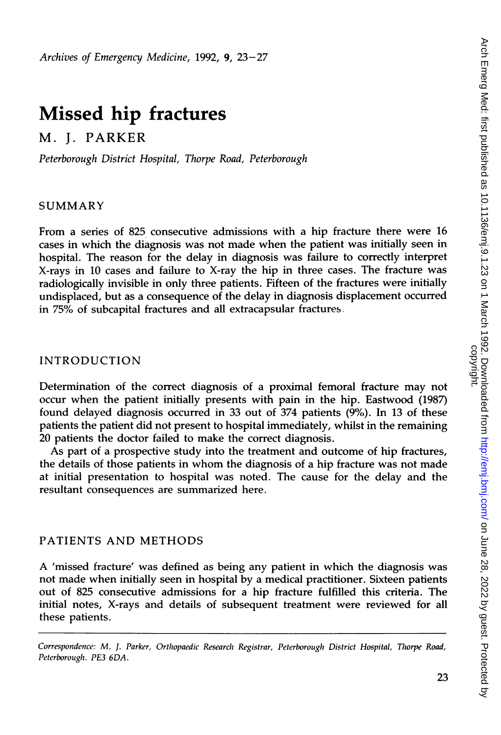# Missed hip fractures

M. J. PARKER

Peterborough District Hospital, Thorpe Road, Peterborough

## SUMMARY

From a series of 825 consecutive admissions with a hip fracture there were 16 cases in which the diagnosis was not made when the patient was initially seen in hospital. The reason for the delay in diagnosis was failure to correctly interpret X-rays in 10 cases and failure to X-ray the hip in three cases. The fracture was radiologically invisible in only three patients. Fifteen of the fractures were initially undisplaced, but as a consequence of the delay in diagnosis displacement occurred in 75% of subcapital fractures and all extracapsular fractures.

# INTRODUCTION

Determination of the correct diagnosis of a proximal femoral fracture may not occur when the patient initially presents with pain in the hip. Eastwood (1987) found delayed diagnosis occurred in 33 out of 374 patients (9%). In 13 of these patients the patient did not present to hospital immediately, whilst in the remaining 20 patients the doctor failed to make the correct diagnosis.

As part of a prospective study into the treatment and outcome of hip fractures, the details of those patients in whom the diagnosis of <sup>a</sup> hip fracture was not made at initial presentation to hospital was noted. The cause for the delay and the resultant consequences are summarized here.

# PATIENTS AND METHODS

A 'missed fracture' was defined as being any patient in which the diagnosis was not made when initially seen in hospital by a medical practitioner. Sixteen patients out of 825 consecutive admissions for a hip fracture fulfilled this criteria. The initial notes, X-rays and details of subsequent treatment were reviewed for all these patients.

Correspondence: M. J. Parker, Orthopaedic Research Registrar, Peterborough District Hospital, Tlwrpe Road, Peterborough. PE3 6DA.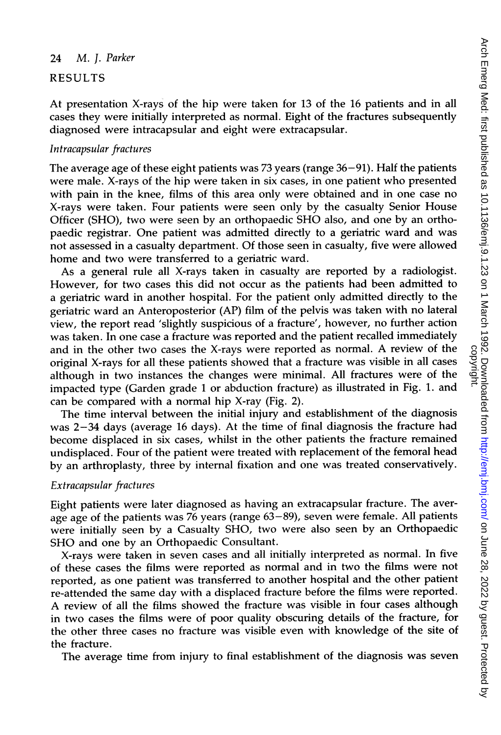### 24 M. J. Parker

#### RESULTS

At presentation X-rays of the hip were taken for 13 of the 16 patients and in all cases they were initially interpreted as normal. Eight of the fractures subsequently diagnosed were intracapsular and eight were extracapsular.

#### Intracapsular fractures

The average age of these eight patients was  $73$  years (range  $36-91$ ). Half the patients were male. X-rays of the hip were taken in six cases, in one patient who presented with pain in the knee, films of this area only were obtained and in one case no X-rays were taken. Four patients were seen only by the casualty Senior House Officer (SHO), two were seen by an orthopaedic SHO also, and one by an orthopaedic registrar. One patient was admitted directly to <sup>a</sup> geriatric ward and was not assessed in a casualty department. Of those seen in casualty, five were allowed home and two were transferred to a geriatric ward.

As a general rule all X-rays taken in casualty are reported by <sup>a</sup> radiologist. However, for two cases this did not occur as the patients had been admitted to a geriatric ward in another hospital. For the patient only admitted directly to the geriatric ward an Anteroposterior (AP) film of the pelvis was taken with no lateral view, the report read 'slightly suspicious of a fracture', however, no further action was taken. In one case a fracture was reported and the patient recalled immediately and in the other two cases the X-rays were reported as normal. A review of the original X-rays for all these patients showed that a fracture was visible in all cases although in two instances the changes were minimal. All fractures were of the impacted type (Garden grade <sup>1</sup> or abduction fracture) as illustrated in Fig. 1. and can be compared with a normal hip X-ray (Fig. 2).

The time interval between the initial injury and establishment of the diagnosis was 2-34 days (average 16 days). At the time of final diagnosis the fracture had become displaced in six cases, whilst in the other patients the fracture remained undisplaced. Four of the patient were treated with replacement of the femoral head by an arthroplasty, three by internal fixation and one was treated conservatively.

#### Extracapsular fractures

Eight patients were later diagnosed as having an extracapsular fracture. The average age of the patients was 76 years (range 63-89), seven were female. All patients were initially seen by a Casualty SHO, two were also seen by an Orthopaedic SHO and one by an Orthopaedic Consultant.

X-rays were taken in seven cases and all initially interpreted as normal. In five of these cases the films were reported as normal and in two the films were not reported, as one patient was transferred to another hospital and the other patient re-attended the same day with a displaced fracture before the films were reported. A review of all the films showed the fracture was visible in four cases although in two cases the films were of poor quality obscuring details of the fracture, for the other three cases no fracture was visible even with knowledge of the site of the fracture.

The average time from injury to final establishment of the diagnosis was seven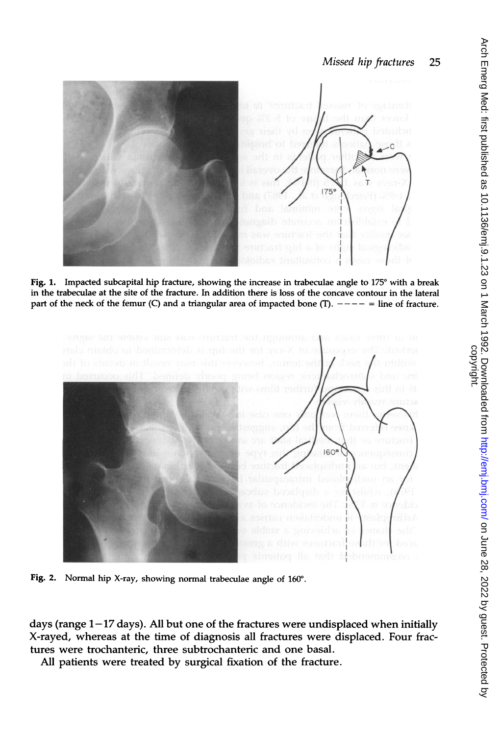

Fig. 1. Impacted subcapital hip fracture, showing the increase in trabeculae angle to 175° with a break in the trabeculae at the site of the fracture. In addition there is loss of the concave contour in the lateral part of the neck of the femur (C) and a triangular area of impacted bone (T).  $--- =$  line of fracture.



Fig. 2. Normal hip X-ray, showing normal trabeculae angle of 160°.

days (range  $1-17$  days). All but one of the fractures were undisplaced when initially X-rayed, whereas at the time of diagnosis all fractures were displaced. Four fractures were trochanteric, three subtrochanteric and one basal.

All patients were treated by surgical fixation of the fracture.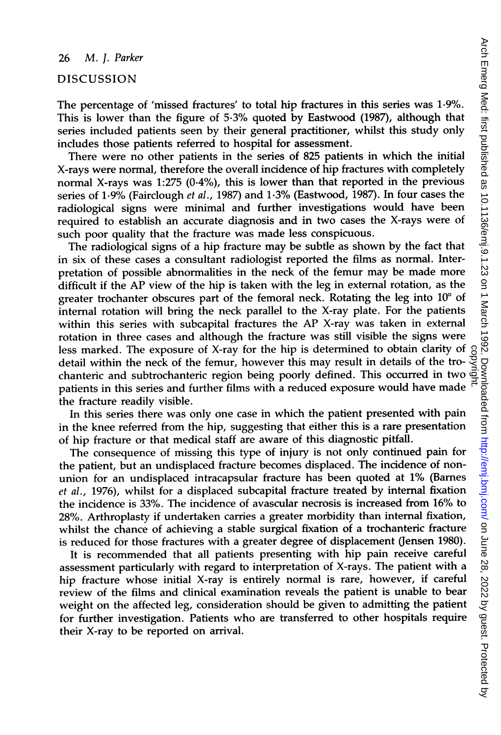#### 26 M. J. Parker

## DISCUSSION

The percentage of 'missed fractures' to total hip fractures in this series was 1-9%. This is lower than the figure of 5.3% quoted by Eastwood (1987), although that series included patients seen by their general practitioner, whilst this study only includes those patients referred to hospital for assessment.

There were no other patients in the series of 825 patients in which the initial X-rays were normal, therefore the overall incidence of hip fractures with completely normal X-rays was 1:275 (0.4%), this is lower than that reported in the previous series of 1.9% (Fairclough et al., 1987) and 1-3% (Eastwood, 1987). In four cases the radiological signs were minimal and further investigations would have been required to establish an accurate diagnosis and in two cases the X-rays were of such poor quality that the fracture was made less conspicuous.

The radiological signs of <sup>a</sup> hip fracture may be subtle as shown by the fact that in six of these cases a consultant radiologist reported the films as normal. Interpretation of possible abnormalities in the neck of the femur may be made more difficult if the AP view of the hip is taken with the leg in external rotation, as the greater trochanter obscures part of the femoral neck. Rotating the leg into  $10^{\circ}$  of internal rotation will bring the neck parallel to the X-ray plate. For the patients within this series with subcapital fractures the AP X-ray was taken in external rotation in three cases and although the fracture was still visible the signs were less marked. The exposure of X-ray for the hip is determined to obtain clarity of detail within the neck of the femur, however this may result in details of the troless marked. The exposure of X-ray for the hip is determined to obtain clarity of 8<br>detail within the neck of the femur, however this may result in details of the tro- $\frac{1}{2}$ <br>chanteric and subtrochanteric region being po patients in this series and further films with <sup>a</sup> reduced exposure would have made the fracture readily visible.

In this series there was only one case in which the patient presented with pain in the knee referred from the hip, suggesting that either this is a rare presentation of hip fracture or that medical staff are aware of this diagnostic pitfall.

The consequence of missing this type of injury is not only continued pain for the patient, but an undisplaced fracture becomes displaced. The incidence of nonunion for an undisplaced intracapsular fracture has been quoted at 1% (Barnes et al., 1976), whilst for a displaced subcapital fracture treated by internal fixation the incidence is 33%. The incidence of avascular necrosis is increased from 16% to 28%. Arthroplasty if undertaken carries a greater morbidity than internal fixation, whilst the chance of achieving a stable surgical fixation of a trochanteric fracture is reduced for those fractures with a greater degree of displacement (Jensen 1980).

It is recommended that all patients presenting with hip pain receive careful assessment particularly with regard to interpretation of X-rays. The patient with a hip fracture whose initial X-ray is entirely normal is rare, however, if careful review of the films and clinical examination reveals the patient is unable to bear weight on the affected leg, consideration should be given to admitting the patient for further investigation. Patients who are transferred to other hospitals require their X-ray to be reported on arrival.